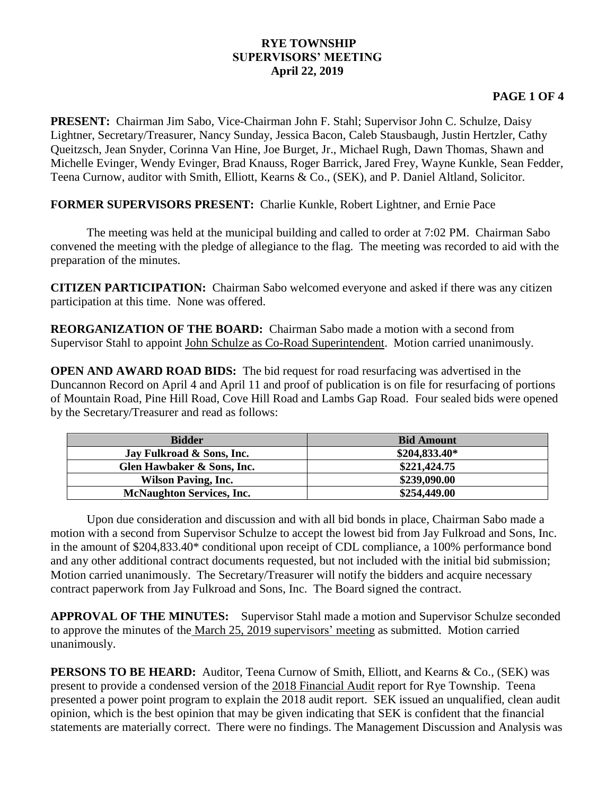## **RYE TOWNSHIP SUPERVISORS' MEETING April 22, 2019**

## **PAGE 1 OF 4**

**PRESENT:** Chairman Jim Sabo, Vice-Chairman John F. Stahl; Supervisor John C. Schulze, Daisy Lightner, Secretary/Treasurer, Nancy Sunday, Jessica Bacon, Caleb Stausbaugh, Justin Hertzler, Cathy Queitzsch, Jean Snyder, Corinna Van Hine, Joe Burget, Jr., Michael Rugh, Dawn Thomas, Shawn and Michelle Evinger, Wendy Evinger, Brad Knauss, Roger Barrick, Jared Frey, Wayne Kunkle, Sean Fedder, Teena Curnow, auditor with Smith, Elliott, Kearns & Co., (SEK), and P. Daniel Altland, Solicitor.

**FORMER SUPERVISORS PRESENT:** Charlie Kunkle, Robert Lightner, and Ernie Pace

The meeting was held at the municipal building and called to order at 7:02 PM. Chairman Sabo convened the meeting with the pledge of allegiance to the flag. The meeting was recorded to aid with the preparation of the minutes.

**CITIZEN PARTICIPATION:** Chairman Sabo welcomed everyone and asked if there was any citizen participation at this time. None was offered.

**REORGANIZATION OF THE BOARD:** Chairman Sabo made a motion with a second from Supervisor Stahl to appoint John Schulze as Co-Road Superintendent. Motion carried unanimously.

**OPEN AND AWARD ROAD BIDS:** The bid request for road resurfacing was advertised in the Duncannon Record on April 4 and April 11 and proof of publication is on file for resurfacing of portions of Mountain Road, Pine Hill Road, Cove Hill Road and Lambs Gap Road. Four sealed bids were opened by the Secretary/Treasurer and read as follows:

| <b>Bidder</b>                    | <b>Bid Amount</b> |
|----------------------------------|-------------------|
| Jay Fulkroad & Sons, Inc.        | $$204,833.40*$    |
| Glen Hawbaker & Sons, Inc.       | \$221,424.75      |
| <b>Wilson Paving, Inc.</b>       | \$239,090.00      |
| <b>McNaughton Services, Inc.</b> | \$254,449.00      |

Upon due consideration and discussion and with all bid bonds in place, Chairman Sabo made a motion with a second from Supervisor Schulze to accept the lowest bid from Jay Fulkroad and Sons, Inc. in the amount of \$204,833.40\* conditional upon receipt of CDL compliance, a 100% performance bond and any other additional contract documents requested, but not included with the initial bid submission; Motion carried unanimously. The Secretary/Treasurer will notify the bidders and acquire necessary contract paperwork from Jay Fulkroad and Sons, Inc. The Board signed the contract.

**APPROVAL OF THE MINUTES:** Supervisor Stahl made a motion and Supervisor Schulze seconded to approve the minutes of the March 25, 2019 supervisors' meeting as submitted. Motion carried unanimously.

**PERSONS TO BE HEARD:** Auditor, Teena Curnow of Smith, Elliott, and Kearns & Co., (SEK) was present to provide a condensed version of the 2018 Financial Audit report for Rye Township. Teena presented a power point program to explain the 2018 audit report. SEK issued an unqualified, clean audit opinion, which is the best opinion that may be given indicating that SEK is confident that the financial statements are materially correct. There were no findings. The Management Discussion and Analysis was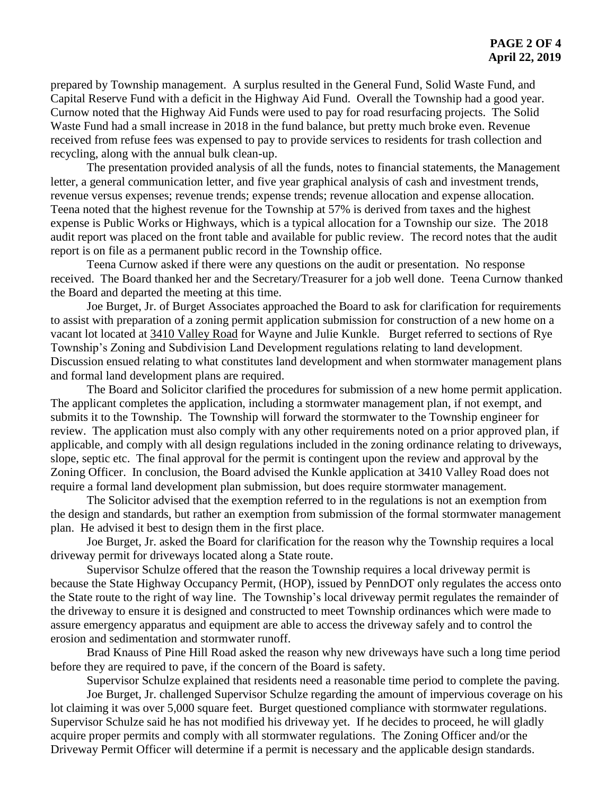prepared by Township management. A surplus resulted in the General Fund, Solid Waste Fund, and Capital Reserve Fund with a deficit in the Highway Aid Fund. Overall the Township had a good year. Curnow noted that the Highway Aid Funds were used to pay for road resurfacing projects. The Solid Waste Fund had a small increase in 2018 in the fund balance, but pretty much broke even. Revenue received from refuse fees was expensed to pay to provide services to residents for trash collection and recycling, along with the annual bulk clean-up.

The presentation provided analysis of all the funds, notes to financial statements, the Management letter, a general communication letter, and five year graphical analysis of cash and investment trends, revenue versus expenses; revenue trends; expense trends; revenue allocation and expense allocation. Teena noted that the highest revenue for the Township at 57% is derived from taxes and the highest expense is Public Works or Highways, which is a typical allocation for a Township our size. The 2018 audit report was placed on the front table and available for public review. The record notes that the audit report is on file as a permanent public record in the Township office.

Teena Curnow asked if there were any questions on the audit or presentation. No response received. The Board thanked her and the Secretary/Treasurer for a job well done. Teena Curnow thanked the Board and departed the meeting at this time.

Joe Burget, Jr. of Burget Associates approached the Board to ask for clarification for requirements to assist with preparation of a zoning permit application submission for construction of a new home on a vacant lot located at 3410 Valley Road for Wayne and Julie Kunkle. Burget referred to sections of Rye Township's Zoning and Subdivision Land Development regulations relating to land development. Discussion ensued relating to what constitutes land development and when stormwater management plans and formal land development plans are required.

The Board and Solicitor clarified the procedures for submission of a new home permit application. The applicant completes the application, including a stormwater management plan, if not exempt, and submits it to the Township. The Township will forward the stormwater to the Township engineer for review. The application must also comply with any other requirements noted on a prior approved plan, if applicable, and comply with all design regulations included in the zoning ordinance relating to driveways, slope, septic etc. The final approval for the permit is contingent upon the review and approval by the Zoning Officer. In conclusion, the Board advised the Kunkle application at 3410 Valley Road does not require a formal land development plan submission, but does require stormwater management.

The Solicitor advised that the exemption referred to in the regulations is not an exemption from the design and standards, but rather an exemption from submission of the formal stormwater management plan. He advised it best to design them in the first place.

Joe Burget, Jr. asked the Board for clarification for the reason why the Township requires a local driveway permit for driveways located along a State route.

Supervisor Schulze offered that the reason the Township requires a local driveway permit is because the State Highway Occupancy Permit, (HOP), issued by PennDOT only regulates the access onto the State route to the right of way line. The Township's local driveway permit regulates the remainder of the driveway to ensure it is designed and constructed to meet Township ordinances which were made to assure emergency apparatus and equipment are able to access the driveway safely and to control the erosion and sedimentation and stormwater runoff.

Brad Knauss of Pine Hill Road asked the reason why new driveways have such a long time period before they are required to pave, if the concern of the Board is safety.

Supervisor Schulze explained that residents need a reasonable time period to complete the paving. Joe Burget, Jr. challenged Supervisor Schulze regarding the amount of impervious coverage on his lot claiming it was over 5,000 square feet. Burget questioned compliance with stormwater regulations. Supervisor Schulze said he has not modified his driveway yet. If he decides to proceed, he will gladly acquire proper permits and comply with all stormwater regulations. The Zoning Officer and/or the Driveway Permit Officer will determine if a permit is necessary and the applicable design standards.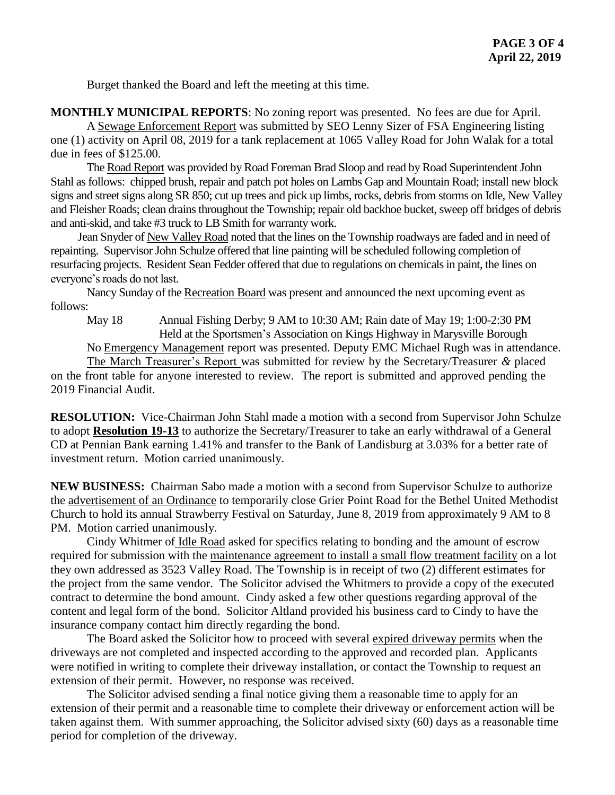Burget thanked the Board and left the meeting at this time.

**MONTHLY MUNICIPAL REPORTS**: No zoning report was presented. No fees are due for April.

A Sewage Enforcement Report was submitted by SEO Lenny Sizer of FSA Engineering listing one (1) activity on April 08, 2019 for a tank replacement at 1065 Valley Road for John Walak for a total due in fees of \$125.00.

The Road Report was provided by Road Foreman Brad Sloop and read by Road SuperintendentJohn Stahl as follows: chipped brush, repair and patch pot holes on Lambs Gap and Mountain Road; install new block signs and street signs along SR 850; cut up trees and pick up limbs, rocks, debris from storms on Idle, New Valley and Fleisher Roads; clean drains throughout the Township; repair old backhoe bucket, sweep off bridges of debris and anti-skid, and take #3 truck to LB Smith for warranty work.

Jean Snyder of New Valley Road noted that the lines on the Township roadways are faded and in need of repainting. Supervisor John Schulze offered that line painting will be scheduled following completion of resurfacing projects. Resident Sean Fedder offered that due to regulations on chemicals in paint, the lines on everyone's roads do not last.

Nancy Sunday of the Recreation Board was present and announced the next upcoming event as follows:

May 18 Annual Fishing Derby; 9 AM to 10:30 AM; Rain date of May 19; 1:00-2:30 PM Held at the Sportsmen's Association on Kings Highway in Marysville Borough

No Emergency Management report was presented. Deputy EMC Michael Rugh was in attendance.

The March Treasurer's Report was submitted for review by the Secretary/Treasurer *&* placed on the front table for anyone interested to review. The report is submitted and approved pending the 2019 Financial Audit.

**RESOLUTION:** Vice-Chairman John Stahl made a motion with a second from Supervisor John Schulze to adopt **Resolution 19-13** to authorize the Secretary/Treasurer to take an early withdrawal of a General CD at Pennian Bank earning 1.41% and transfer to the Bank of Landisburg at 3.03% for a better rate of investment return. Motion carried unanimously.

**NEW BUSINESS:** Chairman Sabo made a motion with a second from Supervisor Schulze to authorize the advertisement of an Ordinance to temporarily close Grier Point Road for the Bethel United Methodist Church to hold its annual Strawberry Festival on Saturday, June 8, 2019 from approximately 9 AM to 8 PM. Motion carried unanimously.

Cindy Whitmer of Idle Road asked for specifics relating to bonding and the amount of escrow required for submission with the maintenance agreement to install a small flow treatment facility on a lot they own addressed as 3523 Valley Road. The Township is in receipt of two (2) different estimates for the project from the same vendor. The Solicitor advised the Whitmers to provide a copy of the executed contract to determine the bond amount. Cindy asked a few other questions regarding approval of the content and legal form of the bond. Solicitor Altland provided his business card to Cindy to have the insurance company contact him directly regarding the bond.

The Board asked the Solicitor how to proceed with several expired driveway permits when the driveways are not completed and inspected according to the approved and recorded plan. Applicants were notified in writing to complete their driveway installation, or contact the Township to request an extension of their permit. However, no response was received.

The Solicitor advised sending a final notice giving them a reasonable time to apply for an extension of their permit and a reasonable time to complete their driveway or enforcement action will be taken against them. With summer approaching, the Solicitor advised sixty (60) days as a reasonable time period for completion of the driveway.